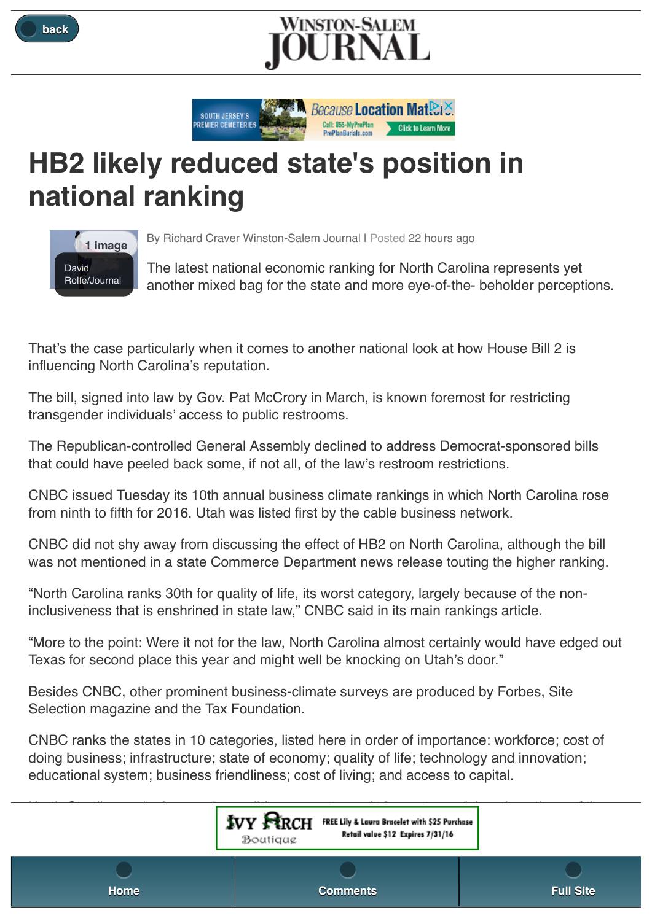





## **HB2 likely reduced state's position in national ranking**



By Richard Craver Winston-Salem Journal I Posted 22 hours ago

The latest national economic ranking for North Carolina represents yet another mixed bag for the state and more eye-of-the- beholder perceptions.

That's the case particularly when it comes to another national look at how House Bill 2 is influencing North Carolina's reputation.

The bill, signed into law by Gov. Pat McCrory in March, is known foremost for restricting transgender individuals' access to public restrooms.

The Republican-controlled General Assembly declined to address Democrat-sponsored bills that could have peeled back some, if not all, of the law's restroom restrictions.

CNBC issued Tuesday its 10th annual business climate rankings in which North Carolina rose from ninth to fifth for 2016. Utah was listed first by the cable business network.

CNBC did not shy away from discussing the effect of HB2 on North Carolina, although the bill was not mentioned in a state Commerce Department news release touting the higher ranking.

"North Carolina ranks 30th for quality of life, its worst category, largely because of the noninclusiveness that is enshrined in state law," CNBC said in its main rankings article.

"More to the point: Were it not for the law, North Carolina almost certainly would have edged out Texas for second place this year and might well be knocking on Utah's door."

Besides CNBC, other prominent business-climate surveys are produced by Forbes, Site Selection magazine and the Tax Foundation.

CNBC ranks the states in 10 categories, listed here in order of importance: workforce; cost of doing business; infrastructure; state of economy; quality of life; technology and innovation; educational system; business friendliness; cost of living; and access to capital.

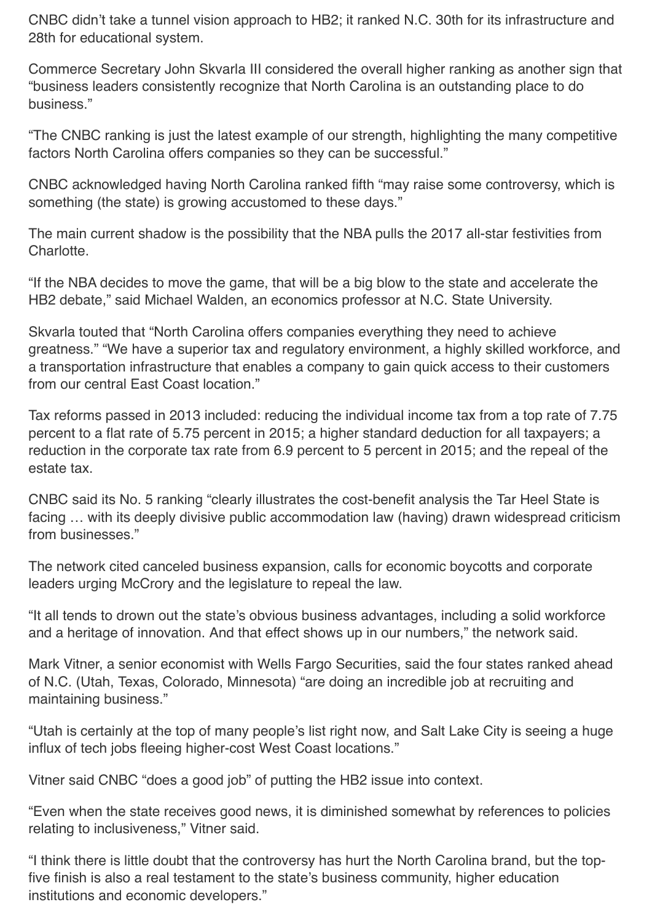CNBC didn't take a tunnel vision approach to HB2; it ranked N.C. 30th for its infrastructure and 28th for educational system.

Commerce Secretary John Skvarla III considered the overall higher ranking as another sign that "business leaders consistently recognize that North Carolina is an outstanding place to do business."

"The CNBC ranking is just the latest example of our strength, highlighting the many competitive factors North Carolina offers companies so they can be successful."

CNBC acknowledged having North Carolina ranked fifth "may raise some controversy, which is something (the state) is growing accustomed to these days."

The main current shadow is the possibility that the NBA pulls the 2017 all-star festivities from Charlotte.

"If the NBA decides to move the game, that will be a big blow to the state and accelerate the HB2 debate," said Michael Walden, an economics professor at N.C. State University.

Skvarla touted that "North Carolina offers companies everything they need to achieve greatness." "We have a superior tax and regulatory environment, a highly skilled workforce, and a transportation infrastructure that enables a company to gain quick access to their customers from our central East Coast location."

Tax reforms passed in 2013 included: reducing the individual income tax from a top rate of 7.75 percent to a flat rate of 5.75 percent in 2015; a higher standard deduction for all taxpayers; a reduction in the corporate tax rate from 6.9 percent to 5 percent in 2015; and the repeal of the estate tax.

CNBC said its No. 5 ranking "clearly illustrates the cost-benefit analysis the Tar Heel State is facing … with its deeply divisive public accommodation law (having) drawn widespread criticism from businesses."

The network cited canceled business expansion, calls for economic boycotts and corporate leaders urging McCrory and the legislature to repeal the law.

"It all tends to drown out the state's obvious business advantages, including a solid workforce and a heritage of innovation. And that effect shows up in our numbers," the network said.

Mark Vitner, a senior economist with Wells Fargo Securities, said the four states ranked ahead of N.C. (Utah, Texas, Colorado, Minnesota) "are doing an incredible job at recruiting and maintaining business."

"Utah is certainly at the top of many people's list right now, and Salt Lake City is seeing a huge influx of tech jobs fleeing higher-cost West Coast locations."

Vitner said CNBC "does a good job" of putting the HB2 issue into context.

"Even when the state receives good news, it is diminished somewhat by references to policies relating to inclusiveness," Vitner said.

"I think there is little doubt that the controversy has hurt the North Carolina brand, but the topfive finish is also a real testament to the state's business community, higher education institutions and economic developers."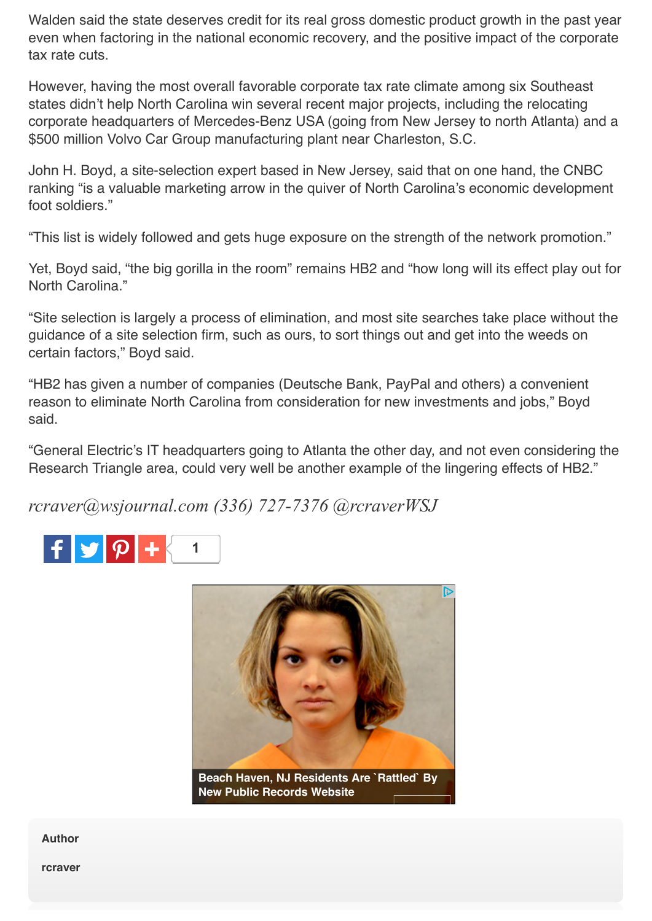Walden said the state deserves credit for its real gross domestic product growth in the past year even when factoring in the national economic recovery, and the positive impact of the corporate tax rate cuts.

However, having the most overall favorable corporate tax rate climate among six Southeast states didn't help North Carolina win several recent major projects, including the relocating corporate headquarters of Mercedes-Benz USA (going from New Jersey to north Atlanta) and a \$500 million Volvo Car Group manufacturing plant near Charleston, S.C.

John H. Boyd, a site-selection expert based in New Jersey, said that on one hand, the CNBC ranking "is a valuable marketing arrow in the quiver of North Carolina's economic development foot soldiers."

"This list is widely followed and gets huge exposure on the strength of the network promotion."

Yet, Boyd said, "the big gorilla in the room" remains HB2 and "how long will its effect play out for North Carolina."

"Site selection is largely a process of elimination, and most site searches take place without the guidance of a site selection firm, such as ours, to sort things out and get into the weeds on certain factors," Boyd said.

"HB2 has given a number of companies (Deutsche Bank, PayPal and others) a convenient reason to eliminate North Carolina from consideration for new investments and jobs," Boyd said.

"General Electric's IT headquarters going to Atlanta the other day, and not even considering the Research Triangle area, could very well be another example of the lingering effects of HB2."

*rcraver@wsjournal.com (336) 727-7376 @rcraverWSJ*





**Author**

**rcraver**